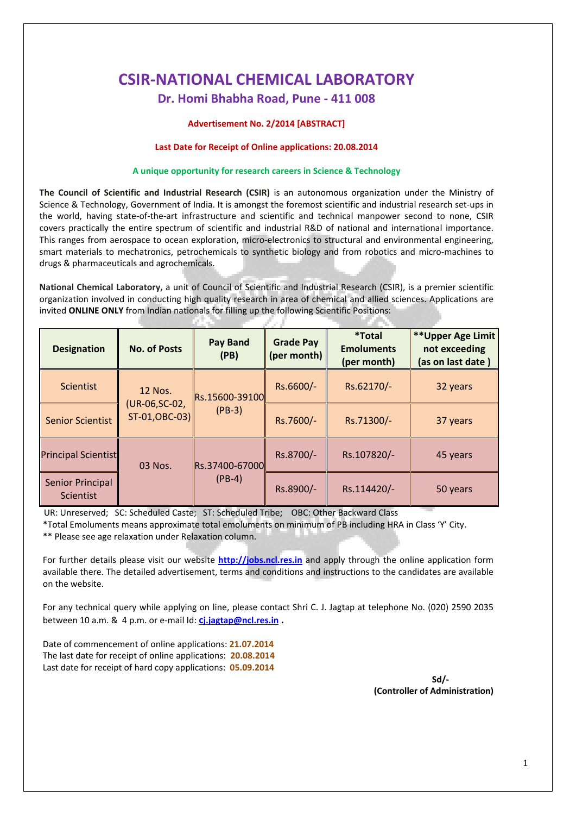# **CSIR‐NATIONAL CHEMICAL LABORATORY Dr. Homi Bhabha Road, Pune ‐ 411 008**

#### **Advertisement No. 2/2014 [ABSTRACT]**

#### **Last Date for Receipt of Online applications: 20.08.2014**

#### **A unique opportunity for research careers in Science & Technology**

**The Council of Scientific and Industrial Research (CSIR)** is an autonomous organization under the Ministry of Science & Technology, Government of India. It is amongst the foremost scientific and industrial research set‐ups in the world, having state-of-the-art infrastructure and scientific and technical manpower second to none, CSIR covers practically the entire spectrum of scientific and industrial R&D of national and international importance. This ranges from aerospace to ocean exploration, micro-electronics to structural and environmental engineering, smart materials to mechatronics, petrochemicals to synthetic biology and from robotics and micro-machines to drugs & pharmaceuticals and agrochemicals.

**National Chemical Laboratory,** a unit of Council of Scientific and Industrial Research (CSIR), is a premier scientific organization involved in conducting high quality research in area of chemical and allied sciences. Applications are invited **ONLINE ONLY** from Indian nationals for filling up the following Scientific Positions:

| <b>Designation</b>                   | <b>No. of Posts</b>                         | <b>Pay Band</b><br>(PB)    | <b>Grade Pay</b><br>(per month) | <i><b>*Total</b></i><br><b>Emoluments</b><br>(per month) | ** Upper Age Limit<br>not exceeding<br>(as on last date) |
|--------------------------------------|---------------------------------------------|----------------------------|---------------------------------|----------------------------------------------------------|----------------------------------------------------------|
| <b>Scientist</b>                     | 12 Nos.<br>(UR-06, SC-02,<br>ST-01, OBC-03) | Rs.15600-39100<br>$(PB-3)$ | Rs.6600/-                       | Rs.62170/-                                               | 32 years                                                 |
| <b>Senior Scientist</b>              |                                             |                            | Rs.7600/-                       | Rs.71300/-                                               | 37 years                                                 |
| <b>Principal Scientist</b>           | 03 Nos.                                     | Rs.37400-67000<br>$(PB-4)$ | Rs.8700/-                       | Rs.107820/-                                              | 45 years                                                 |
| <b>Senior Principal</b><br>Scientist |                                             |                            | Rs.8900/-                       | Rs.114420/-                                              | 50 years                                                 |

UR: Unreserved; SC: Scheduled Caste; ST: Scheduled Tribe; OBC: Other Backward Class

\*Total Emoluments means approximate total emoluments on minimum of PB including HRA in Class 'Y' City. \*\* Please see age relaxation under Relaxation column.

For further details please visit our website **http://jobs.ncl.res.in** and apply through the online application form available there. The detailed advertisement, terms and conditions and instructions to the candidates are available on the website.

For any technical query while applying on line, please contact Shri C. J. Jagtap at telephone No. (020) 2590 2035 between 10 a.m. & 4 p.m. or e‐mail Id: **cj.jagtap@ncl.res.in .**

Date of commencement of online applications: **21.07.2014** The last date for receipt of online applications: **20.08.2014** Last date for receipt of hard copy applications: **05.09.2014**

> **Sd/‐ (Controller of Administration)**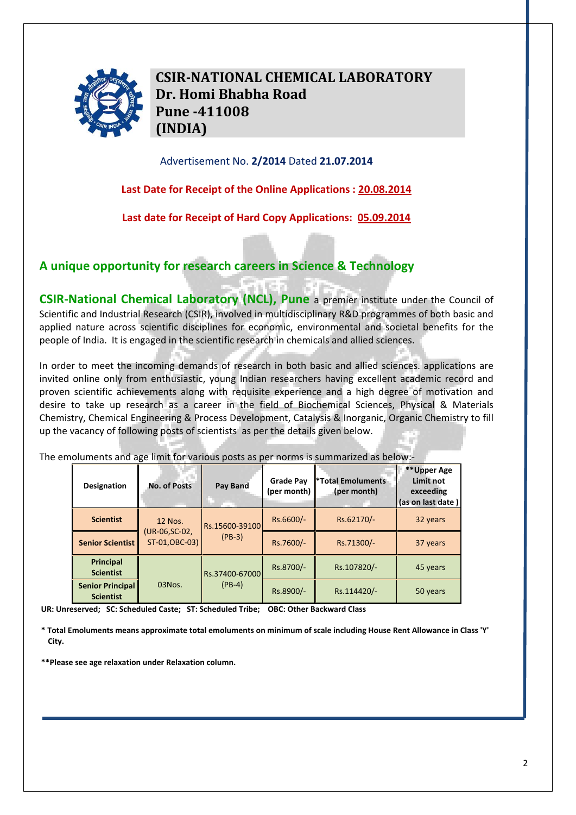

**CSIRNATIONAL CHEMICAL LABORATORY Dr. Homi Bhabha Road Pune 411008 (INDIA)**

### Advertisement No. **2/2014** Dated **21.07.2014**

**Last Date for Receipt of the Online Applications : 20.08.2014**

**Last date for Receipt of Hard Copy Applications: 05.09.2014**

## **A unique opportunity for research careers in Science & Technology**

**CSIR‐National Chemical Laboratory (NCL), Pune** a premier institute under the Council of Scientific and Industrial Research (CSIR), involved in multidisciplinary R&D programmes of both basic and applied nature across scientific disciplines for economic, environmental and societal benefits for the people of India. It is engaged in the scientific research in chemicals and allied sciences.

In order to meet the incoming demands of research in both basic and allied sciences. applications are invited online only from enthusiastic, young Indian researchers having excellent academic record and proven scientific achievements along with requisite experience and a high degree of motivation and desire to take up research as a career in the field of Biochemical Sciences, Physical & Materials Chemistry, Chemical Engineering & Process Development, Catalysis & Inorganic, Organic Chemistry to fill up the vacancy of following posts of scientists as per the details given below.

The emoluments and age limit for various posts as per norms is summarized as below:‐

| <b>Designation</b>                          | <b>No. of Posts</b>                                | Pay Band                   | <b>Grade Pay</b><br>(per month) | <b>*Total Emoluments</b><br>(per month) | **Upper Age<br>Limit not<br>exceeding<br>(as on last date) |
|---------------------------------------------|----------------------------------------------------|----------------------------|---------------------------------|-----------------------------------------|------------------------------------------------------------|
| <b>Scientist</b>                            | <b>12 Nos.</b><br>(UR-06, SC-02,<br>ST-01, OBC-03) | Rs.15600-39100<br>$(PB-3)$ | Rs.6600/-                       | Rs.62170/-                              | 32 years                                                   |
| <b>Senior Scientist</b>                     |                                                    |                            | Rs.7600/-                       | Rs.71300/-                              | 37 years                                                   |
| Principal<br><b>Scientist</b>               | $03N$ os.                                          | Rs.37400-67000<br>$(PB-4)$ | Rs.8700/-                       | Rs.107820/-                             | 45 years                                                   |
| <b>Senior Principal</b><br><b>Scientist</b> |                                                    |                            | Rs.8900/-                       | Rs.114420/-                             | 50 years                                                   |

**UR: Unreserved; SC: Scheduled Caste; ST: Scheduled Tribe; OBC: Other Backward Class**

\* Total Emoluments means approximate total emoluments on minimum of scale including House Rent Allowance in Class 'Y' **City.** 

**\*\*Please see age relaxation under Relaxation column.**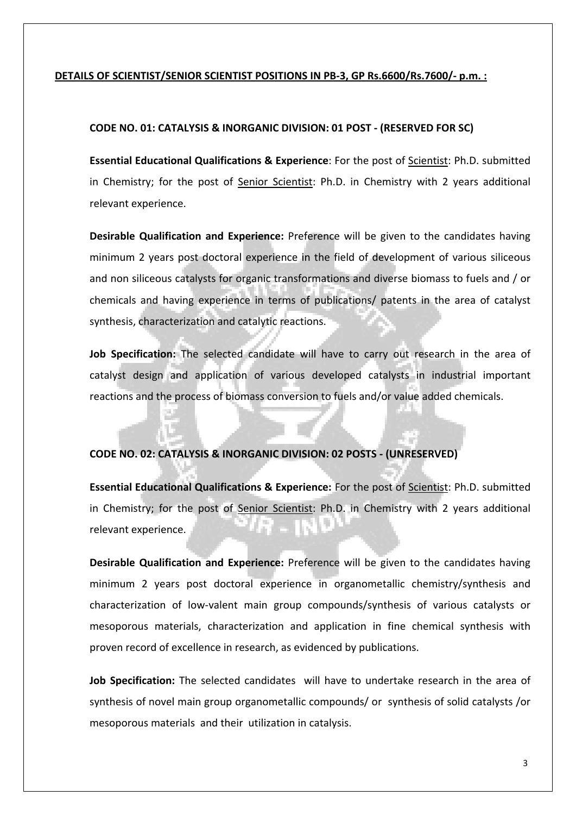### **DETAILS OF SCIENTIST/SENIOR SCIENTIST POSITIONS IN PB‐3, GP Rs.6600/Rs.7600/‐ p.m. :**

### **CODE NO. 01: CATALYSIS & INORGANIC DIVISION: 01 POST ‐ (RESERVED FOR SC)**

**Essential Educational Qualifications & Experience**: For the post of Scientist: Ph.D. submitted in Chemistry; for the post of Senior Scientist: Ph.D. in Chemistry with 2 years additional relevant experience.

**Desirable Qualification and Experience:** Preference will be given to the candidates having minimum 2 years post doctoral experience in the field of development of various siliceous and non siliceous catalysts for organic transformations and diverse biomass to fuels and / or chemicals and having experience in terms of publications/ patents in the area of catalyst synthesis, characterization and catalytic reactions.

**Job Specification:** The selected candidate will have to carry out research in the area of catalyst design and application of various developed catalysts in industrial important reactions and the process of biomass conversion to fuels and/or value added chemicals.

## **CODE NO. 02: CATALYSIS & INORGANIC DIVISION: 02 POSTS ‐ (UNRESERVED)**

**Essential Educational Qualifications & Experience:** For the post of Scientist: Ph.D. submitted in Chemistry; for the post of Senior Scientist: Ph.D. in Chemistry with 2 years additional relevant experience.

**Desirable Qualification and Experience:** Preference will be given to the candidates having minimum 2 years post doctoral experience in organometallic chemistry/synthesis and characterization of low‐valent main group compounds/synthesis of various catalysts or mesoporous materials, characterization and application in fine chemical synthesis with proven record of excellence in research, as evidenced by publications.

**Job Specification:** The selected candidates will have to undertake research in the area of synthesis of novel main group organometallic compounds/ or synthesis of solid catalysts /or mesoporous materials and their utilization in catalysis.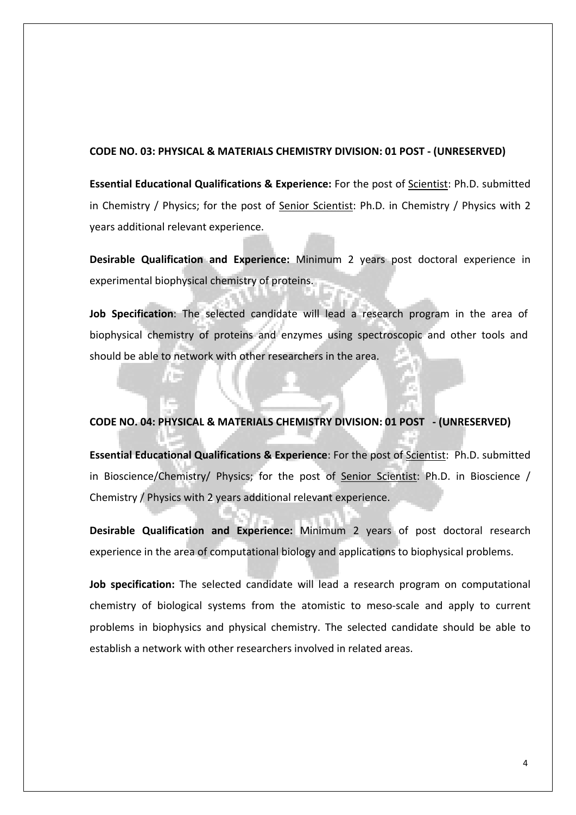#### **CODE NO. 03: PHYSICAL & MATERIALS CHEMISTRY DIVISION: 01 POST ‐ (UNRESERVED)**

**Essential Educational Qualifications & Experience:** For the post of Scientist: Ph.D. submitted in Chemistry / Physics; for the post of Senior Scientist: Ph.D. in Chemistry / Physics with 2 years additional relevant experience.

**Desirable Qualification and Experience:** Minimum 2 years post doctoral experience in experimental biophysical chemistry of proteins.

**Job Specification**: The selected candidate will lead a research program in the area of biophysical chemistry of proteins and enzymes using spectroscopic and other tools and should be able to network with other researchers in the area.

### **CODE NO. 04: PHYSICAL & MATERIALS CHEMISTRY DIVISION: 01 POST ‐ (UNRESERVED)**

7 mi

**Essential Educational Qualifications & Experience**: For the post of Scientist: Ph.D. submitted in Bioscience/Chemistry/ Physics; for the post of Senior Scientist: Ph.D. in Bioscience / Chemistry / Physics with 2 years additional relevant experience.

**Desirable Qualification and Experience:** Minimum 2 years of post doctoral research experience in the area of computational biology and applications to biophysical problems.

**Job specification:** The selected candidate will lead a research program on computational chemistry of biological systems from the atomistic to meso-scale and apply to current problems in biophysics and physical chemistry. The selected candidate should be able to establish a network with other researchers involved in related areas.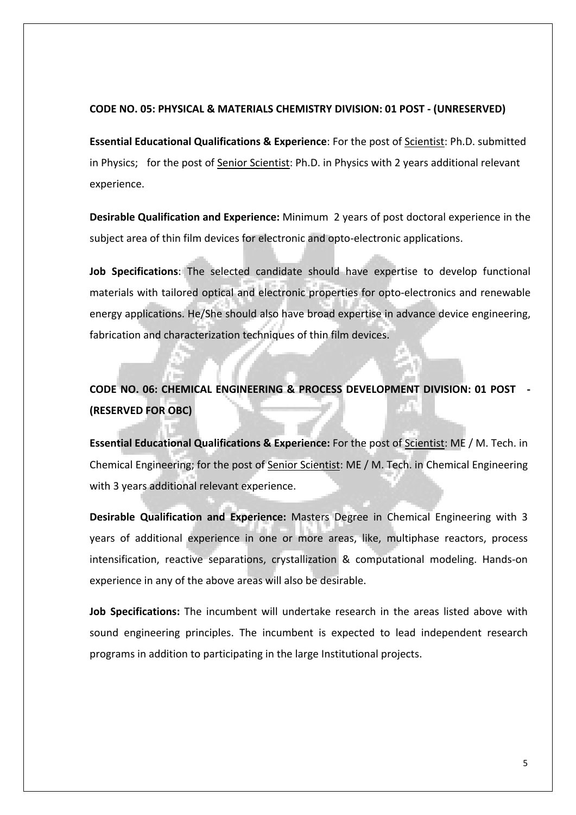### **CODE NO. 05: PHYSICAL & MATERIALS CHEMISTRY DIVISION: 01 POST ‐ (UNRESERVED)**

**Essential Educational Qualifications & Experience**: For the post of Scientist: Ph.D. submitted in Physics; for the post of Senior Scientist: Ph.D. in Physics with 2 years additional relevant experience.

**Desirable Qualification and Experience:** Minimum 2 years of post doctoral experience in the subject area of thin film devices for electronic and opto‐electronic applications.

**Job Specifications**: The selected candidate should have expertise to develop functional materials with tailored optical and electronic properties for opto‐electronics and renewable energy applications. He/She should also have broad expertise in advance device engineering, fabrication and characterization techniques of thin film devices.

#### **CODE NO. 06: CHEMICAL ENGINEERING & PROCESS DEVELOPMENT DIVISION: 01 POST ‐**  иĤ **(RESERVED FOR OBC)**

**Essential Educational Qualifications & Experience:** For the post of Scientist: ME / M. Tech. in Chemical Engineering; for the post of Senior Scientist: ME / M. Tech. in Chemical Engineering with 3 years additional relevant experience.

**Desirable Qualification and Experience:** Masters Degree in Chemical Engineering with 3 years of additional experience in one or more areas, like, multiphase reactors, process intensification, reactive separations, crystallization & computational modeling. Hands‐on experience in any of the above areas will also be desirable.

**Job Specifications:** The incumbent will undertake research in the areas listed above with sound engineering principles. The incumbent is expected to lead independent research programs in addition to participating in the large Institutional projects.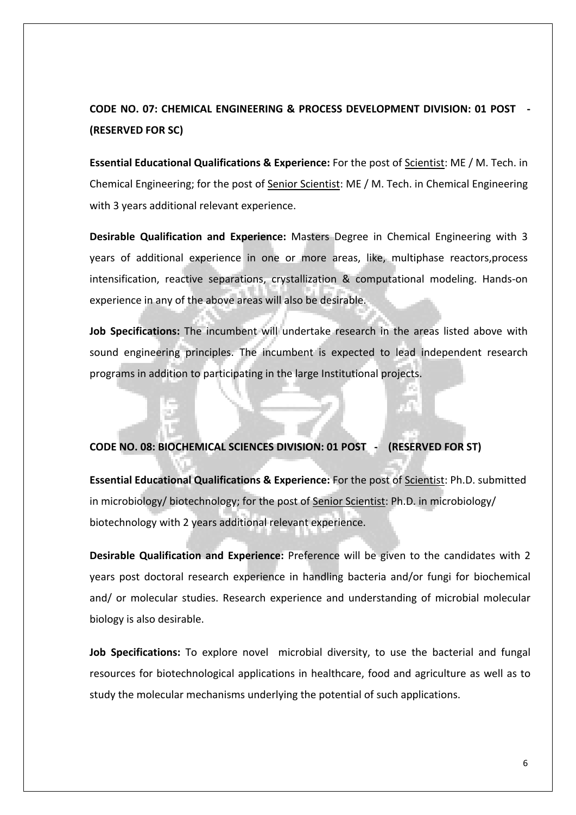# **CODE NO. 07: CHEMICAL ENGINEERING & PROCESS DEVELOPMENT DIVISION: 01 POST ‐ (RESERVED FOR SC)**

**Essential Educational Qualifications & Experience:** For the post of Scientist: ME / M. Tech. in Chemical Engineering; for the post of Senior Scientist: ME / M. Tech. in Chemical Engineering with 3 years additional relevant experience.

**Desirable Qualification and Experience:** Masters Degree in Chemical Engineering with 3 years of additional experience in one or more areas, like, multiphase reactors,process intensification, reactive separations, crystallization & computational modeling. Hands‐on experience in any of the above areas will also be desirable.

**Job Specifications:** The incumbent will undertake research in the areas listed above with sound engineering principles. The incumbent is expected to lead independent research programs in addition to participating in the large Institutional projects.

### **CODE NO. 08: BIOCHEMICAL SCIENCES DIVISION: 01 POST ‐ (RESERVED FOR ST)**

**Essential Educational Qualifications & Experience:** For the post of Scientist: Ph.D. submitted in microbiology/ biotechnology; for the post of Senior Scientist: Ph.D. in microbiology/ biotechnology with 2 years additional relevant experience.

**Desirable Qualification and Experience:** Preference will be given to the candidates with 2 years post doctoral research experience in handling bacteria and/or fungi for biochemical and/ or molecular studies. Research experience and understanding of microbial molecular biology is also desirable.

**Job Specifications:** To explore novel microbial diversity, to use the bacterial and fungal resources for biotechnological applications in healthcare, food and agriculture as well as to study the molecular mechanisms underlying the potential of such applications.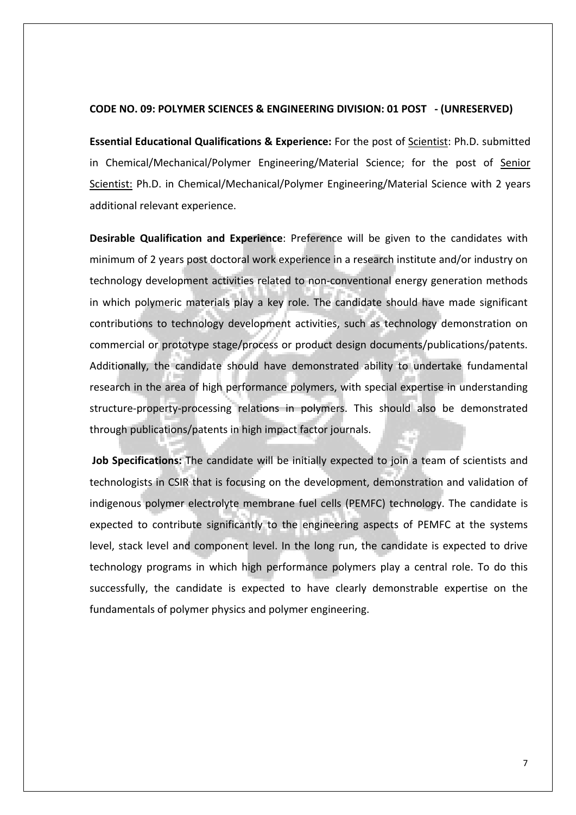#### **CODE NO. 09: POLYMER SCIENCES & ENGINEERING DIVISION: 01 POST ‐ (UNRESERVED)**

**Essential Educational Qualifications & Experience:** For the post of Scientist: Ph.D. submitted in Chemical/Mechanical/Polymer Engineering/Material Science; for the post of Senior Scientist: Ph.D. in Chemical/Mechanical/Polymer Engineering/Material Science with 2 years additional relevant experience.

**Desirable Qualification and Experience**: Preference will be given to the candidates with minimum of 2 years post doctoral work experience in a research institute and/or industry on technology development activities related to non‐conventional energy generation methods in which polymeric materials play a key role. The candidate should have made significant contributions to technology development activities, such as technology demonstration on commercial or prototype stage/process or product design documents/publications/patents. Additionally, the candidate should have demonstrated ability to undertake fundamental research in the area of high performance polymers, with special expertise in understanding structure‐property‐processing relations in polymers. This should also be demonstrated through publications/patents in high impact factor journals.

**Job Specifications:** The candidate will be initially expected to join a team of scientists and technologists in CSIR that is focusing on the development, demonstration and validation of indigenous polymer electrolyte membrane fuel cells (PEMFC) technology. The candidate is expected to contribute significantly to the engineering aspects of PEMFC at the systems level, stack level and component level. In the long run, the candidate is expected to drive technology programs in which high performance polymers play a central role. To do this successfully, the candidate is expected to have clearly demonstrable expertise on the fundamentals of polymer physics and polymer engineering.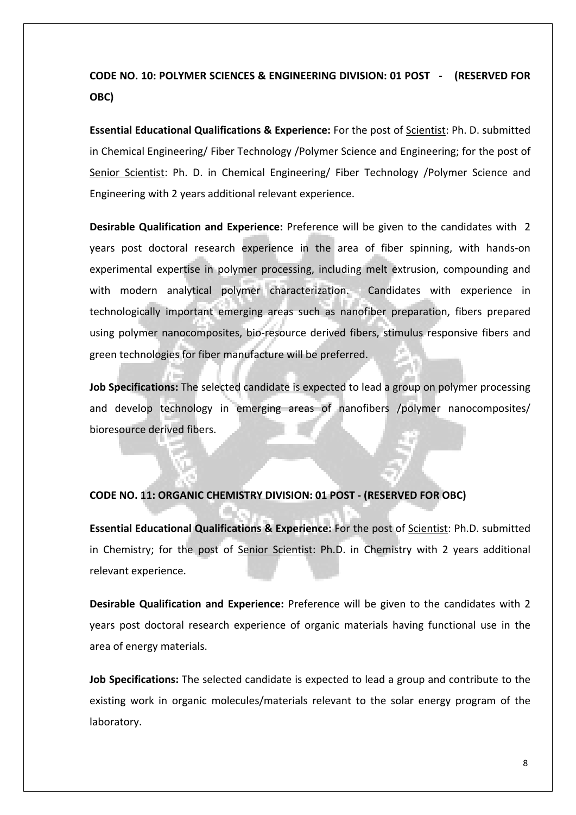# **CODE NO. 10: POLYMER SCIENCES & ENGINEERING DIVISION: 01 POST ‐ (RESERVED FOR OBC)**

**Essential Educational Qualifications & Experience:** For the post of Scientist: Ph. D. submitted in Chemical Engineering/ Fiber Technology /Polymer Science and Engineering; for the post of Senior Scientist: Ph. D. in Chemical Engineering/ Fiber Technology /Polymer Science and Engineering with 2 years additional relevant experience.

**Desirable Qualification and Experience:** Preference will be given to the candidates with 2 years post doctoral research experience in the area of fiber spinning, with hands‐on experimental expertise in polymer processing, including melt extrusion, compounding and with modern analytical polymer characterization. Candidates with experience in technologically important emerging areas such as nanofiber preparation, fibers prepared using polymer nanocomposites, bio‐resource derived fibers, stimulus responsive fibers and green technologies for fiber manufacture will be preferred.

**Job Specifications:** The selected candidate is expected to lead a group on polymer processing and develop technology in emerging areas of nanofibers /polymer nanocomposites/ bioresource derived fibers.

### **CODE NO. 11: ORGANIC CHEMISTRY DIVISION: 01 POST ‐ (RESERVED FOR OBC)**

**Essential Educational Qualifications & Experience:** For the post of Scientist: Ph.D. submitted in Chemistry; for the post of Senior Scientist: Ph.D. in Chemistry with 2 years additional relevant experience.

**Desirable Qualification and Experience:** Preference will be given to the candidates with 2 years post doctoral research experience of organic materials having functional use in the area of energy materials.

**Job Specifications:** The selected candidate is expected to lead a group and contribute to the existing work in organic molecules/materials relevant to the solar energy program of the laboratory.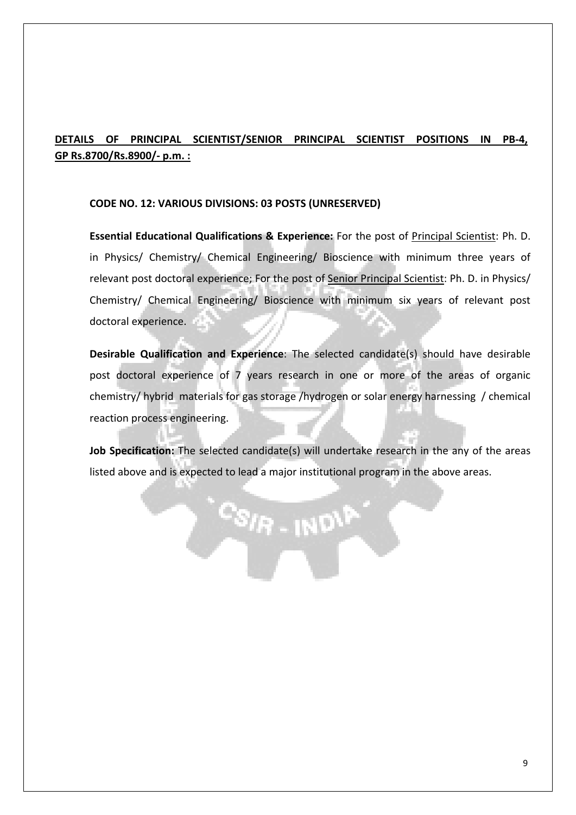## **DETAILS OF PRINCIPAL SCIENTIST/SENIOR PRINCIPAL SCIENTIST POSITIONS IN PB‐4, GP Rs.8700/Rs.8900/‐ p.m. :**

### **CODE NO. 12: VARIOUS DIVISIONS: 03 POSTS (UNRESERVED)**

**Essential Educational Qualifications & Experience:** For the post of Principal Scientist: Ph. D. in Physics/ Chemistry/ Chemical Engineering/ Bioscience with minimum three years of relevant post doctoral experience; For the post of Senior Principal Scientist: Ph. D. in Physics/ Chemistry/ Chemical Engineering/ Bioscience with minimum six years of relevant post doctoral experience.

**Desirable Qualification and Experience**: The selected candidate(s) should have desirable post doctoral experience of 7 years research in one or more of the areas of organic chemistry/ hybrid materials for gas storage /hydrogen or solar energy harnessing / chemical reaction process engineering.

**Job Specification:** The selected candidate(s) will undertake research in the any of the areas listed above and is expected to lead a major institutional program in the above areas.

 $\frac{c_{S/R-1ND}P}{P}$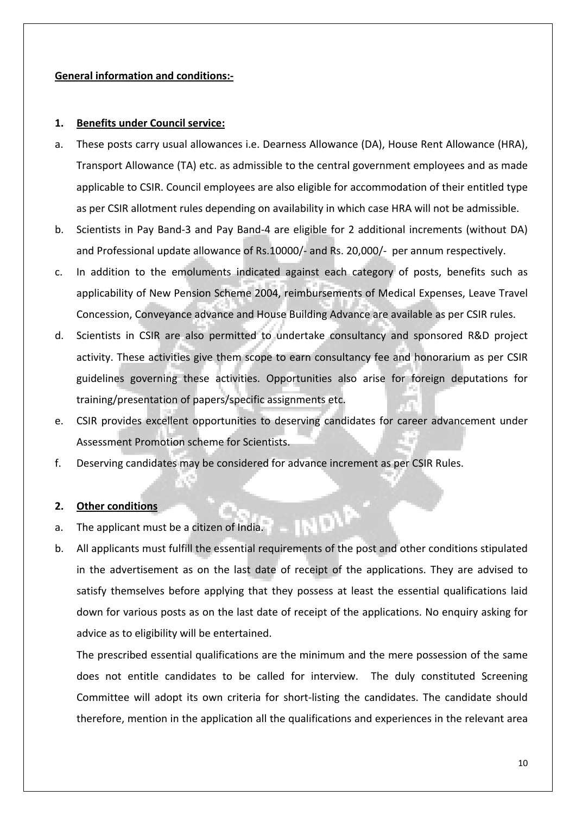### **General information and conditions:‐**

### **1. Benefits under Council service:**

- a. These posts carry usual allowances i.e. Dearness Allowance (DA), House Rent Allowance (HRA), Transport Allowance (TA) etc. as admissible to the central government employees and as made applicable to CSIR. Council employees are also eligible for accommodation of their entitled type as per CSIR allotment rules depending on availability in which case HRA will not be admissible.
- b. Scientists in Pay Band‐3 and Pay Band‐4 are eligible for 2 additional increments (without DA) and Professional update allowance of Rs.10000/‐ and Rs. 20,000/‐ per annum respectively.
- c. In addition to the emoluments indicated against each category of posts, benefits such as applicability of New Pension Scheme 2004, reimbursements of Medical Expenses, Leave Travel Concession, Conveyance advance and House Building Advance are available as per CSIR rules.
- d. Scientists in CSIR are also permitted to undertake consultancy and sponsored R&D project activity. These activities give them scope to earn consultancy fee and honorarium as per CSIR guidelines governing these activities. Opportunities also arise for foreign deputations for training/presentation of papers/specific assignments etc.
- e. CSIR provides excellent opportunities to deserving candidates for career advancement under Assessment Promotion scheme for Scientists.
- f. Deserving candidates may be considered for advance increment as per CSIR Rules.

### **2. Other conditions**

- a. The applicant must be a citizen of India.
- b. All applicants must fulfill the essential requirements of the post and other conditions stipulated in the advertisement as on the last date of receipt of the applications. They are advised to satisfy themselves before applying that they possess at least the essential qualifications laid down for various posts as on the last date of receipt of the applications. No enquiry asking for advice as to eligibility will be entertained.

The prescribed essential qualifications are the minimum and the mere possession of the same does not entitle candidates to be called for interview. The duly constituted Screening Committee will adopt its own criteria for short‐listing the candidates. The candidate should therefore, mention in the application all the qualifications and experiences in the relevant area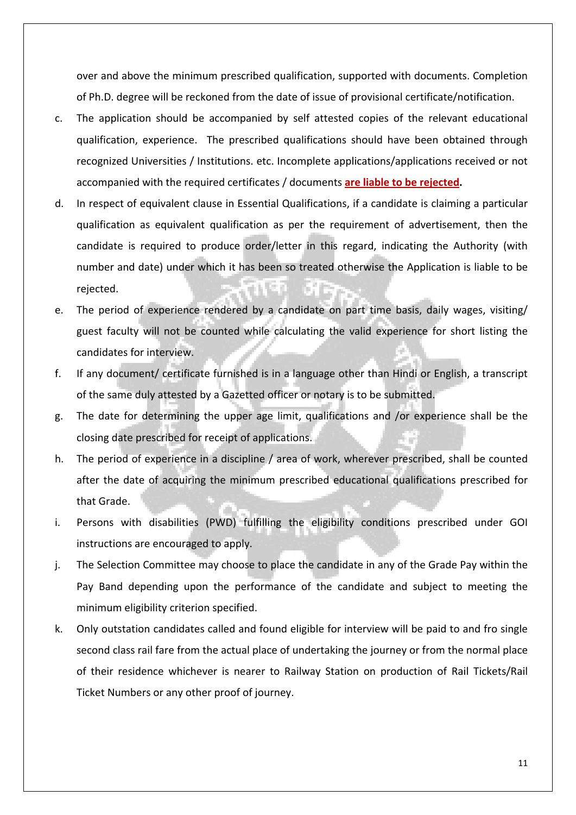over and above the minimum prescribed qualification, supported with documents. Completion of Ph.D. degree will be reckoned from the date of issue of provisional certificate/notification.

- c. The application should be accompanied by self attested copies of the relevant educational qualification, experience. The prescribed qualifications should have been obtained through recognized Universities / Institutions. etc. Incomplete applications/applications received or not accompanied with the required certificates / documents **are liable to be rejected.**
- d. In respect of equivalent clause in Essential Qualifications, if a candidate is claiming a particular qualification as equivalent qualification as per the requirement of advertisement, then the candidate is required to produce order/letter in this regard, indicating the Authority (with number and date) under which it has been so treated otherwise the Application is liable to be rejected.
- e. The period of experience rendered by a candidate on part time basis, daily wages, visiting/ guest faculty will not be counted while calculating the valid experience for short listing the candidates for interview.
- f. If any document/ certificate furnished is in a language other than Hindi or English, a transcript of the same duly attested by a Gazetted officer or notary is to be submitted.
- g. The date for determining the upper age limit, qualifications and /or experience shall be the closing date prescribed for receipt of applications.
- h. The period of experience in a discipline / area of work, wherever prescribed, shall be counted after the date of acquiring the minimum prescribed educational qualifications prescribed for that Grade.
- i. Persons with disabilities (PWD) fulfilling the eligibility conditions prescribed under GOI instructions are encouraged to apply.
- j. The Selection Committee may choose to place the candidate in any of the Grade Pay within the Pay Band depending upon the performance of the candidate and subject to meeting the minimum eligibility criterion specified.
- k. Only outstation candidates called and found eligible for interview will be paid to and fro single second class rail fare from the actual place of undertaking the journey or from the normal place of their residence whichever is nearer to Railway Station on production of Rail Tickets/Rail Ticket Numbers or any other proof of journey.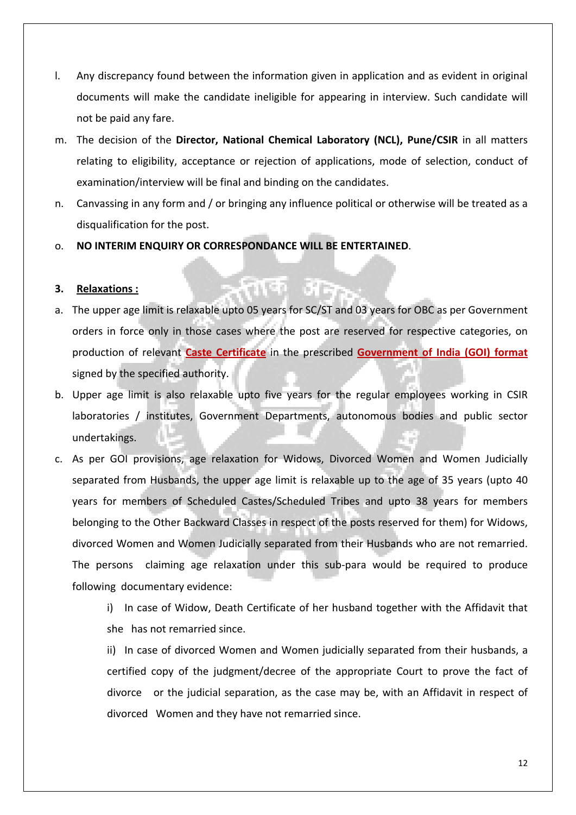- l. Any discrepancy found between the information given in application and as evident in original documents will make the candidate ineligible for appearing in interview. Such candidate will not be paid any fare.
- m. The decision of the **Director, National Chemical Laboratory (NCL), Pune/CSIR** in all matters relating to eligibility, acceptance or rejection of applications, mode of selection, conduct of examination/interview will be final and binding on the candidates.
- n. Canvassing in any form and / or bringing any influence political or otherwise will be treated as a disqualification for the post.
- o. **NO INTERIM ENQUIRY OR CORRESPONDANCE WILL BE ENTERTAINED**.

### **3. Relaxations :**

- a. The upper age limit is relaxable upto 05 years for SC/ST and 03 years for OBC as per Government orders in force only in those cases where the post are reserved for respective categories, on production of relevant **Caste Certificate** in the prescribed **Government of India (GOI) format** signed by the specified authority.
- b. Upper age limit is also relaxable upto five years for the regular employees working in CSIR laboratories / institutes, Government Departments, autonomous bodies and public sector undertakings.
- c. As per GOI provisions, age relaxation for Widows, Divorced Women and Women Judicially separated from Husbands, the upper age limit is relaxable up to the age of 35 years (upto 40 years for members of Scheduled Castes/Scheduled Tribes and upto 38 years for members belonging to the Other Backward Classes in respect of the posts reserved for them) for Widows, divorced Women and Women Judicially separated from their Husbands who are not remarried. The persons claiming age relaxation under this sub-para would be required to produce following documentary evidence:

i) In case of Widow, Death Certificate of her husband together with the Affidavit that she has not remarried since.

ii) In case of divorced Women and Women judicially separated from their husbands, a certified copy of the judgment/decree of the appropriate Court to prove the fact of divorce or the judicial separation, as the case may be, with an Affidavit in respect of divorced Women and they have not remarried since.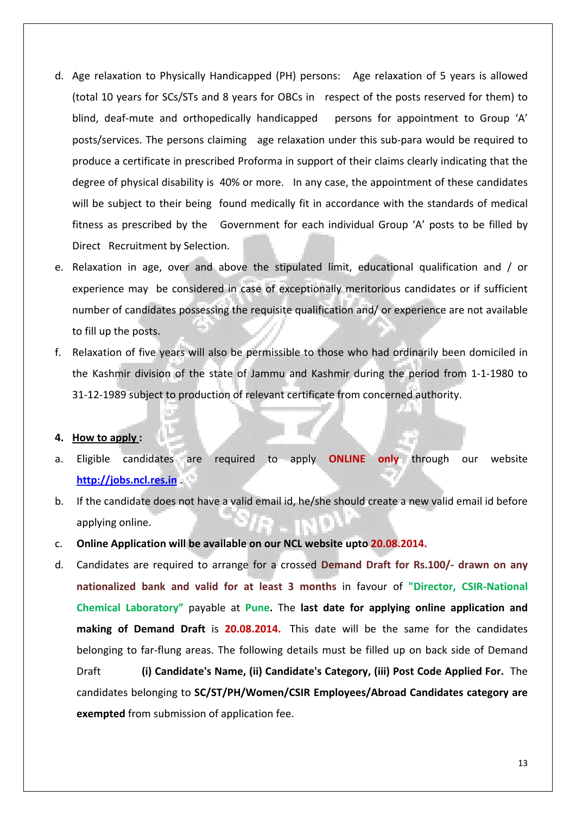- d. Age relaxation to Physically Handicapped (PH) persons: Age relaxation of 5 years is allowed (total 10 years for SCs/STs and 8 years for OBCs in respect of the posts reserved for them) to blind, deaf-mute and orthopedically handicapped persons for appointment to Group 'A' posts/services. The persons claiming age relaxation under this sub‐para would be required to produce a certificate in prescribed Proforma in support of their claims clearly indicating that the degree of physical disability is 40% or more. In any case, the appointment of these candidates will be subject to their being found medically fit in accordance with the standards of medical fitness as prescribed by the Government for each individual Group 'A' posts to be filled by Direct Recruitment by Selection.
- e. Relaxation in age, over and above the stipulated limit, educational qualification and / or experience may be considered in case of exceptionally meritorious candidates or if sufficient number of candidates possessing the requisite qualification and/ or experience are not available to fill up the posts.
- f. Relaxation of five years will also be permissible to those who had ordinarily been domiciled in the Kashmir division of the state of Jammu and Kashmir during the period from 1‐1‐1980 to 31‐12‐1989 subject to production of relevant certificate from concerned authority.

#### **4. How to apply :**

- a. Eligible candidates are required to apply **ONLINE only** through our website **http://jobs.ncl.res.in** .
- b. If the candidate does not have a valid email id, he/she should create a new valid email id before applying online.
- c. **Online Application will be available on our NCL website upto 20.08.2014.**
- d. Candidates are required to arrange for a crossed **Demand Draft for Rs.100/‐ drawn on any nationalized bank and valid for at least 3 months** in favour of **"Director, CSIR‐National Chemical Laboratory"** payable at **Pune.** The **last date for applying online application and making of Demand Draft** is **20.08.2014.** This date will be the same for the candidates belonging to far‐flung areas. The following details must be filled up on back side of Demand Draft **(i) Candidate's Name, (ii) Candidate's Category, (iii) Post Code Applied For.** The candidates belonging to **SC/ST/PH/Women/CSIR Employees/Abroad Candidates category are exempted** from submission of application fee.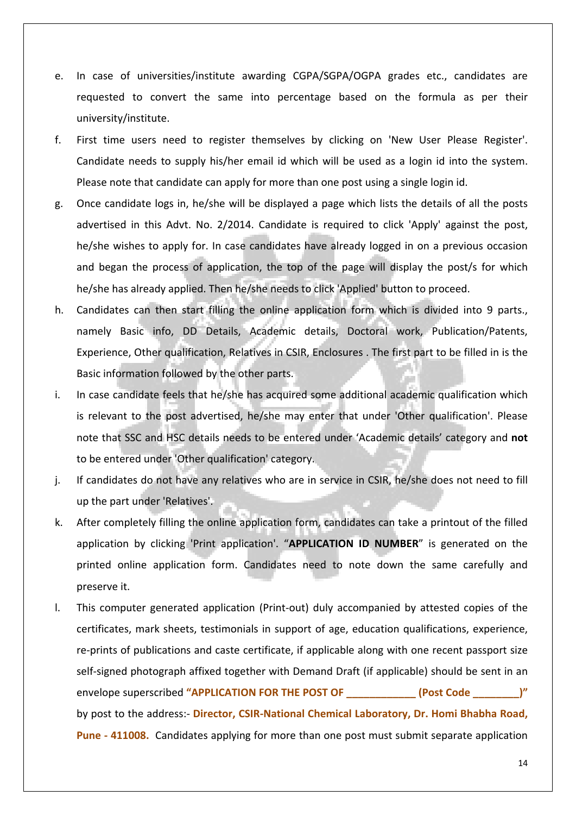- e. In case of universities/institute awarding CGPA/SGPA/OGPA grades etc., candidates are requested to convert the same into percentage based on the formula as per their university/institute.
- f. First time users need to register themselves by clicking on 'New User Please Register'. Candidate needs to supply his/her email id which will be used as a login id into the system. Please note that candidate can apply for more than one post using a single login id.
- g. Once candidate logs in, he/she will be displayed a page which lists the details of all the posts advertised in this Advt. No. 2/2014. Candidate is required to click 'Apply' against the post, he/she wishes to apply for. In case candidates have already logged in on a previous occasion and began the process of application, the top of the page will display the post/s for which he/she has already applied. Then he/she needs to click 'Applied' button to proceed.
- h. Candidates can then start filling the online application form which is divided into 9 parts., namely Basic info, DD Details, Academic details, Doctoral work, Publication/Patents, Experience, Other qualification, Relatives in CSIR, Enclosures . The first part to be filled in is the Basic information followed by the other parts.
- i. In case candidate feels that he/she has acquired some additional academic qualification which is relevant to the post advertised, he/she may enter that under 'Other qualification'. Please note that SSC and HSC details needs to be entered under 'Academic details' category and **not** to be entered under 'Other qualification' category.
- j. If candidates do not have any relatives who are in service in CSIR, he/she does not need to fill up the part under 'Relatives'.
- k. After completely filling the online application form, candidates can take a printout of the filled application by clicking 'Print application'. "**APPLICATION ID NUMBER**" is generated on the printed online application form. Candidates need to note down the same carefully and preserve it.
- l. This computer generated application (Print‐out) duly accompanied by attested copies of the certificates, mark sheets, testimonials in support of age, education qualifications, experience, re-prints of publications and caste certificate, if applicable along with one recent passport size self-signed photograph affixed together with Demand Draft (if applicable) should be sent in an envelope superscribed **"APPLICATION FOR THE POST OF \_\_\_\_\_\_\_\_\_\_\_\_ (Post Code \_\_\_\_\_\_\_\_)"** by post to the address:‐ **Director, CSIR‐National Chemical Laboratory, Dr. Homi Bhabha Road, Pune** - 411008. Candidates applying for more than one post must submit separate application